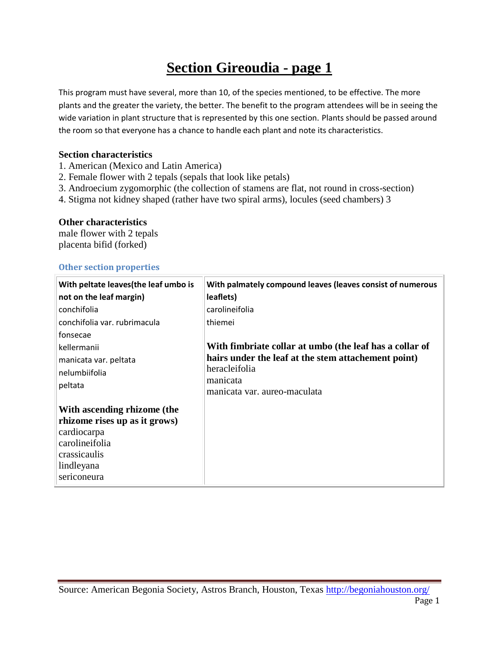## **Section Gireoudia - page 1**

This program must have several, more than 10, of the species mentioned, to be effective. The more plants and the greater the variety, the better. The benefit to the program attendees will be in seeing the wide variation in plant structure that is represented by this one section. Plants should be passed around the room so that everyone has a chance to handle each plant and note its characteristics.

### **Section characteristics**

- 1. American (Mexico and Latin America)
- 2. Female flower with 2 tepals (sepals that look like petals)
- 3. Androecium zygomorphic (the collection of stamens are flat, not round in cross-section)
- 4. Stigma not kidney shaped (rather have two spiral arms), locules (seed chambers) 3

#### **Other characteristics**

male flower with 2 tepals placenta bifid (forked)

#### **Other section properties**

| With peltate leaves (the leaf umbo is | With palmately compound leaves (leaves consist of numerous |
|---------------------------------------|------------------------------------------------------------|
| not on the leaf margin)               | leaflets)                                                  |
| conchifolia                           | carolineifolia                                             |
| conchifolia var. rubrimacula          | thiemei                                                    |
| fonsecae                              |                                                            |
| kellermanii                           | With fimbriate collar at umbo (the leaf has a collar of    |
| manicata var. peltata                 | hairs under the leaf at the stem attachement point)        |
| nelumbiifolia                         | heracleifolia                                              |
| peltata                               | manicata                                                   |
|                                       | manicata var. aureo-maculata                               |
| With ascending rhizome (the           |                                                            |
| rhizome rises up as it grows)         |                                                            |
| cardiocarpa                           |                                                            |
| carolineifolia                        |                                                            |
| crassicaulis                          |                                                            |
| lindleyana                            |                                                            |
| sericoneura                           |                                                            |